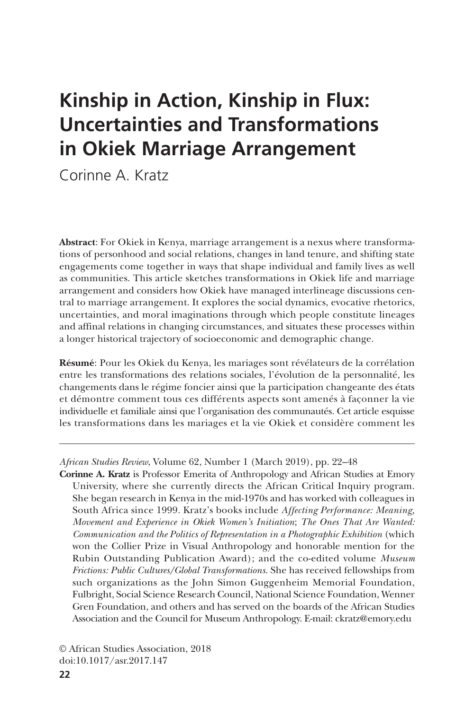# **Kinship in Action, Kinship in Flux: Uncertainties and Transformations in Okiek Marriage Arrangement**

Corinne A. Kratz

**Abstract**: For Okiek in Kenya, marriage arrangement is a nexus where transformations of personhood and social relations, changes in land tenure, and shifting state engagements come together in ways that shape individual and family lives as well as communities. This article sketches transformations in Okiek life and marriage arrangement and considers how Okiek have managed interlineage discussions central to marriage arrangement. It explores the social dynamics, evocative rhetorics, uncertainties, and moral imaginations through which people constitute lineages and affinal relations in changing circumstances, and situates these processes within a longer historical trajectory of socioeconomic and demographic change.

**Résumé**: Pour les Okiek du Kenya, les mariages sont révélateurs de la corrélation entre les transformations des relations sociales, l'évolution de la personnalité, les changements dans le régime foncier ainsi que la participation changeante des états et démontre comment tous ces différents aspects sont amenés à façonner la vie individuelle et familiale ainsi que l'organisation des communautés. Cet article esquisse les transformations dans les mariages et la vie Okiek et considère comment les

*African Studies Review*, Volume 62, Number 1 (March 2019), pp. 22–48

**Corinne A. Kratz** is Professor Emerita of Anthropology and African Studies at Emory University, where she currently directs the African Critical Inquiry program. She began research in Kenya in the mid-1970s and has worked with colleagues in South Africa since 1999. Kratz's books include *Affecting Performance: Meaning, Movement and Experience in Okiek Women's Initiation*; *The Ones That Are Wanted: Communication and the Politics of Representation in a Photographic Exhibition* (which won the Collier Prize in Visual Anthropology and honorable mention for the Rubin Outstanding Publication Award); and the co-edited volume *Museum Frictions: Public Cultures/Global Transformations.* She has received fellowships from such organizations as the John Simon Guggenheim Memorial Foundation, Fulbright, Social Science Research Council, National Science Foundation, Wenner Gren Foundation, and others and has served on the boards of the African Studies Association and the Council for Museum Anthropology. E-mail: [ckratz@emory.edu](mailto:ckratz@emory.edu)

© African Studies Association, 2018 doi:10.1017/asr.2017.147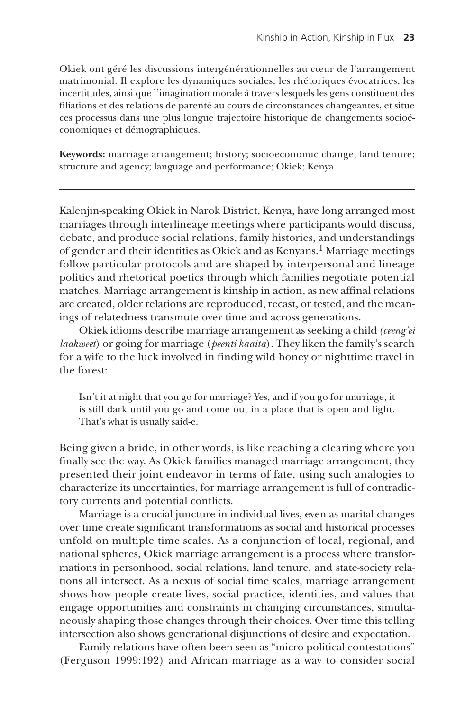Okiek ont géré les discussions intergénérationnelles au cœur de l'arrangement matrimonial. Il explore les dynamiques sociales, les rhétoriques évocatrices, les incertitudes, ainsi que l'imagination morale à travers lesquels les gens constituent des filiations et des relations de parenté au cours de circonstances changeantes, et situe ces processus dans une plus longue trajectoire historique de changements socioéconomiques et démographiques.

**Keywords:** marriage arrangement; history; socioeconomic change; land tenure; structure and agency; language and performance; Okiek; Kenya

Kalenjin-speaking Okiek in Narok District, Kenya, have long arranged most marriages through interlineage meetings where participants would discuss, debate, and produce social relations, family histories, and understandings of gender and their identities as Okiek and as Kenyans.1 Marriage meetings follow particular protocols and are shaped by interpersonal and lineage politics and rhetorical poetics through which families negotiate potential matches. Marriage arrangement is kinship in action, as new affinal relations are created, older relations are reproduced, recast, or tested, and the meanings of relatedness transmute over time and across generations.

Okiek idioms describe marriage arrangement as seeking a child *(ceeng'ei laakweet*) or going for marriage (*peenti kaaita*). They liken the family's search for a wife to the luck involved in finding wild honey or nighttime travel in the forest:

Isn't it at night that you go for marriage? Yes, and if you go for marriage, it is still dark until you go and come out in a place that is open and light. That's what is usually said-e.

Being given a bride, in other words, is like reaching a clearing where you finally see the way. As Okiek families managed marriage arrangement, they presented their joint endeavor in terms of fate, using such analogies to characterize its uncertainties, for marriage arrangement is full of contradictory currents and potential conflicts.

Marriage is a crucial juncture in individual lives, even as marital changes over time create significant transformations as social and historical processes unfold on multiple time scales. As a conjunction of local, regional, and national spheres, Okiek marriage arrangement is a process where transformations in personhood, social relations, land tenure, and state-society relations all intersect. As a nexus of social time scales, marriage arrangement shows how people create lives, social practice, identities, and values that engage opportunities and constraints in changing circumstances, simultaneously shaping those changes through their choices. Over time this telling intersection also shows generational disjunctions of desire and expectation.

Family relations have often been seen as "micro-political contestations" (Ferguson 1999:192) and African marriage as a way to consider social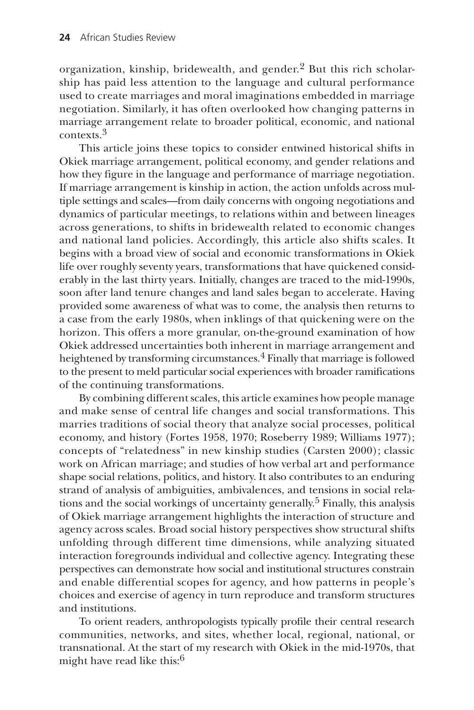organization, kinship, bridewealth, and gender.<sup>2</sup> But this rich scholarship has paid less attention to the language and cultural performance used to create marriages and moral imaginations embedded in marriage negotiation. Similarly, it has often overlooked how changing patterns in marriage arrangement relate to broader political, economic, and national contexts.3

This article joins these topics to consider entwined historical shifts in Okiek marriage arrangement, political economy, and gender relations and how they figure in the language and performance of marriage negotiation. If marriage arrangement is kinship in action, the action unfolds across multiple settings and scales—from daily concerns with ongoing negotiations and dynamics of particular meetings, to relations within and between lineages across generations, to shifts in bridewealth related to economic changes and national land policies. Accordingly, this article also shifts scales. It begins with a broad view of social and economic transformations in Okiek life over roughly seventy years, transformations that have quickened considerably in the last thirty years. Initially, changes are traced to the mid-1990s, soon after land tenure changes and land sales began to accelerate. Having provided some awareness of what was to come, the analysis then returns to a case from the early 1980s, when inklings of that quickening were on the horizon. This offers a more granular, on-the-ground examination of how Okiek addressed uncertainties both inherent in marriage arrangement and heightened by transforming circumstances.4 Finally that marriage is followed to the present to meld particular social experiences with broader ramifications of the continuing transformations.

By combining different scales, this article examines how people manage and make sense of central life changes and social transformations. This marries traditions of social theory that analyze social processes, political economy, and history (Fortes 1958, 1970; Roseberry 1989; Williams 1977); concepts of "relatedness" in new kinship studies (Carsten 2000); classic work on African marriage; and studies of how verbal art and performance shape social relations, politics, and history. It also contributes to an enduring strand of analysis of ambiguities, ambivalences, and tensions in social relations and the social workings of uncertainty generally.5 Finally, this analysis of Okiek marriage arrangement highlights the interaction of structure and agency across scales. Broad social history perspectives show structural shifts unfolding through different time dimensions, while analyzing situated interaction foregrounds individual and collective agency. Integrating these perspectives can demonstrate how social and institutional structures constrain and enable differential scopes for agency, and how patterns in people's choices and exercise of agency in turn reproduce and transform structures and institutions.

To orient readers, anthropologists typically profile their central research communities, networks, and sites, whether local, regional, national, or transnational. At the start of my research with Okiek in the mid-1970s, that might have read like this: $6$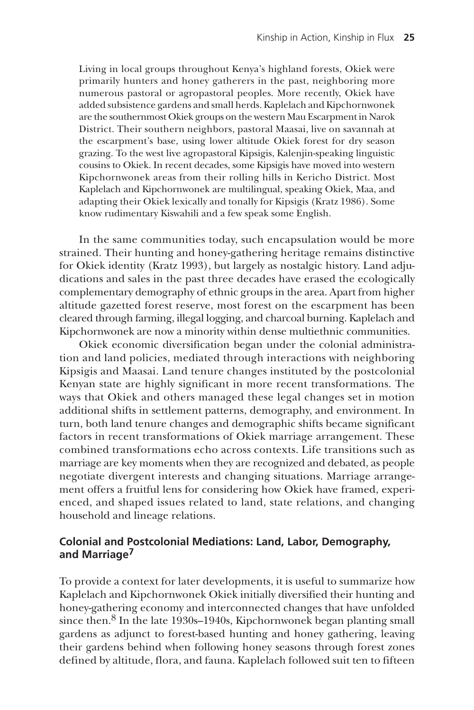Living in local groups throughout Kenya's highland forests, Okiek were primarily hunters and honey gatherers in the past, neighboring more numerous pastoral or agropastoral peoples. More recently, Okiek have added subsistence gardens and small herds. Kaplelach and Kipchornwonek are the southernmost Okiek groups on the western Mau Escarpment in Narok District. Their southern neighbors, pastoral Maasai, live on savannah at the escarpment's base, using lower altitude Okiek forest for dry season grazing. To the west live agropastoral Kipsigis, Kalenjin-speaking linguistic cousins to Okiek. In recent decades, some Kipsigis have moved into western Kipchornwonek areas from their rolling hills in Kericho District. Most Kaplelach and Kipchornwonek are multilingual, speaking Okiek, Maa, and adapting their Okiek lexically and tonally for Kipsigis (Kratz 1986). Some know rudimentary Kiswahili and a few speak some English.

In the same communities today, such encapsulation would be more strained. Their hunting and honey-gathering heritage remains distinctive for Okiek identity (Kratz 1993), but largely as nostalgic history. Land adjudications and sales in the past three decades have erased the ecologically complementary demography of ethnic groups in the area. Apart from higher altitude gazetted forest reserve, most forest on the escarpment has been cleared through farming, illegal logging, and charcoal burning. Kaplelach and Kipchornwonek are now a minority within dense multiethnic communities.

Okiek economic diversification began under the colonial administration and land policies, mediated through interactions with neighboring Kipsigis and Maasai. Land tenure changes instituted by the postcolonial Kenyan state are highly significant in more recent transformations. The ways that Okiek and others managed these legal changes set in motion additional shifts in settlement patterns, demography, and environment. In turn, both land tenure changes and demographic shifts became significant factors in recent transformations of Okiek marriage arrangement. These combined transformations echo across contexts. Life transitions such as marriage are key moments when they are recognized and debated, as people negotiate divergent interests and changing situations. Marriage arrangement offers a fruitful lens for considering how Okiek have framed, experienced, and shaped issues related to land, state relations, and changing household and lineage relations.

## **Colonial and Postcolonial Mediations: Land, Labor, Demography, and Marriage7**

To provide a context for later developments, it is useful to summarize how Kaplelach and Kipchornwonek Okiek initially diversified their hunting and honey-gathering economy and interconnected changes that have unfolded since then.<sup>8</sup> In the late 1930s–1940s, Kipchornwonek began planting small gardens as adjunct to forest-based hunting and honey gathering, leaving their gardens behind when following honey seasons through forest zones defined by altitude, flora, and fauna. Kaplelach followed suit ten to fifteen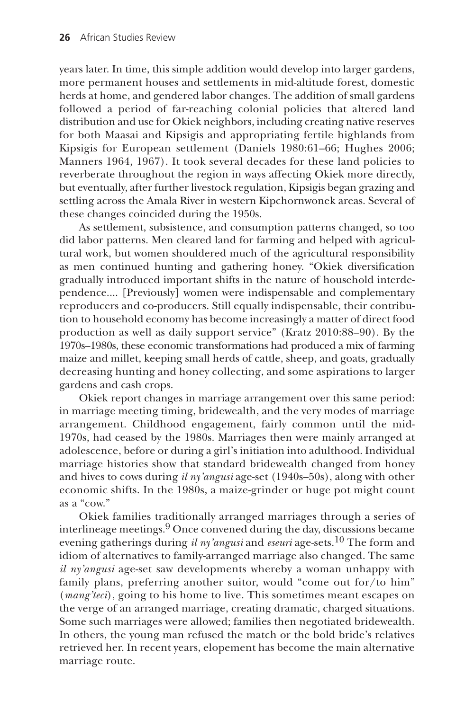years later. In time, this simple addition would develop into larger gardens, more permanent houses and settlements in mid-altitude forest, domestic herds at home, and gendered labor changes. The addition of small gardens followed a period of far-reaching colonial policies that altered land distribution and use for Okiek neighbors, including creating native reserves for both Maasai and Kipsigis and appropriating fertile highlands from Kipsigis for European settlement (Daniels 1980:61–66; Hughes 2006; Manners 1964, 1967). It took several decades for these land policies to reverberate throughout the region in ways affecting Okiek more directly, but eventually, after further livestock regulation, Kipsigis began grazing and settling across the Amala River in western Kipchornwonek areas. Several of these changes coincided during the 1950s.

As settlement, subsistence, and consumption patterns changed, so too did labor patterns. Men cleared land for farming and helped with agricultural work, but women shouldered much of the agricultural responsibility as men continued hunting and gathering honey. "Okiek diversification gradually introduced important shifts in the nature of household interdependence.... [Previously] women were indispensable and complementary reproducers and co-producers. Still equally indispensable, their contribution to household economy has become increasingly a matter of direct food production as well as daily support service" (Kratz 2010:88–90). By the 1970s–1980s, these economic transformations had produced a mix of farming maize and millet, keeping small herds of cattle, sheep, and goats, gradually decreasing hunting and honey collecting, and some aspirations to larger gardens and cash crops.

Okiek report changes in marriage arrangement over this same period: in marriage meeting timing, bridewealth, and the very modes of marriage arrangement. Childhood engagement, fairly common until the mid-1970s, had ceased by the 1980s. Marriages then were mainly arranged at adolescence, before or during a girl's initiation into adulthood. Individual marriage histories show that standard bridewealth changed from honey and hives to cows during *il ny'angusi* age-set (1940s–50s), along with other economic shifts. In the 1980s, a maize-grinder or huge pot might count as a "cow."

Okiek families traditionally arranged marriages through a series of interlineage meetings.9 Once convened during the day, discussions became evening gatherings during *il ny'angusi* and *eseuri* age-sets.10 The form and idiom of alternatives to family-arranged marriage also changed. The same *il ny'angusi* age-set saw developments whereby a woman unhappy with family plans, preferring another suitor, would "come out for/to him" (*mang'teci*), going to his home to live. This sometimes meant escapes on the verge of an arranged marriage, creating dramatic, charged situations. Some such marriages were allowed; families then negotiated bridewealth. In others, the young man refused the match or the bold bride's relatives retrieved her. In recent years, elopement has become the main alternative marriage route.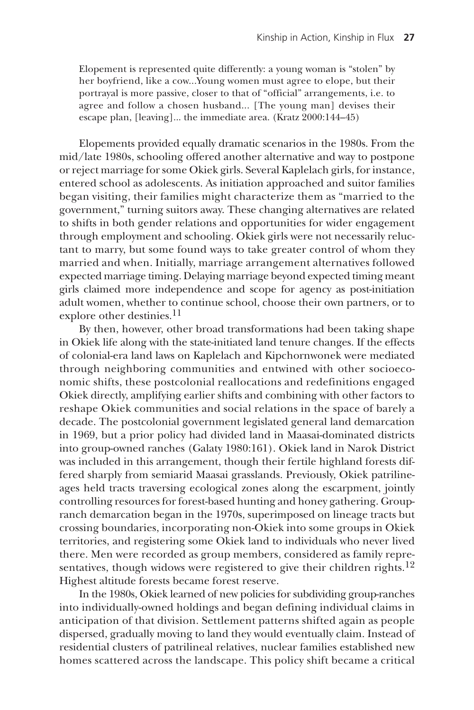Elopement is represented quite differently: a young woman is "stolen" by her boyfriend, like a cow...Young women must agree to elope, but their portrayal is more passive, closer to that of "official" arrangements, i.e. to agree and follow a chosen husband... [The young man] devises their escape plan, [leaving]... the immediate area. (Kratz 2000:144–45)

Elopements provided equally dramatic scenarios in the 1980s. From the mid/late 1980s, schooling offered another alternative and way to postpone or reject marriage for some Okiek girls. Several Kaplelach girls, for instance, entered school as adolescents. As initiation approached and suitor families began visiting, their families might characterize them as "married to the government," turning suitors away. These changing alternatives are related to shifts in both gender relations and opportunities for wider engagement through employment and schooling. Okiek girls were not necessarily reluctant to marry, but some found ways to take greater control of whom they married and when. Initially, marriage arrangement alternatives followed expected marriage timing. Delaying marriage beyond expected timing meant girls claimed more independence and scope for agency as post-initiation adult women, whether to continue school, choose their own partners, or to explore other destinies.<sup>11</sup>

By then, however, other broad transformations had been taking shape in Okiek life along with the state-initiated land tenure changes. If the effects of colonial-era land laws on Kaplelach and Kipchornwonek were mediated through neighboring communities and entwined with other socioeconomic shifts, these postcolonial reallocations and redefinitions engaged Okiek directly, amplifying earlier shifts and combining with other factors to reshape Okiek communities and social relations in the space of barely a decade. The postcolonial government legislated general land demarcation in 1969, but a prior policy had divided land in Maasai-dominated districts into group-owned ranches (Galaty 1980:161). Okiek land in Narok District was included in this arrangement, though their fertile highland forests differed sharply from semiarid Maasai grasslands. Previously, Okiek patrilineages held tracts traversing ecological zones along the escarpment, jointly controlling resources for forest-based hunting and honey gathering. Groupranch demarcation began in the 1970s, superimposed on lineage tracts but crossing boundaries, incorporating non-Okiek into some groups in Okiek territories, and registering some Okiek land to individuals who never lived there. Men were recorded as group members, considered as family representatives, though widows were registered to give their children rights.<sup>12</sup> Highest altitude forests became forest reserve.

In the 1980s, Okiek learned of new policies for subdividing group-ranches into individually-owned holdings and began defining individual claims in anticipation of that division. Settlement patterns shifted again as people dispersed, gradually moving to land they would eventually claim. Instead of residential clusters of patrilineal relatives, nuclear families established new homes scattered across the landscape. This policy shift became a critical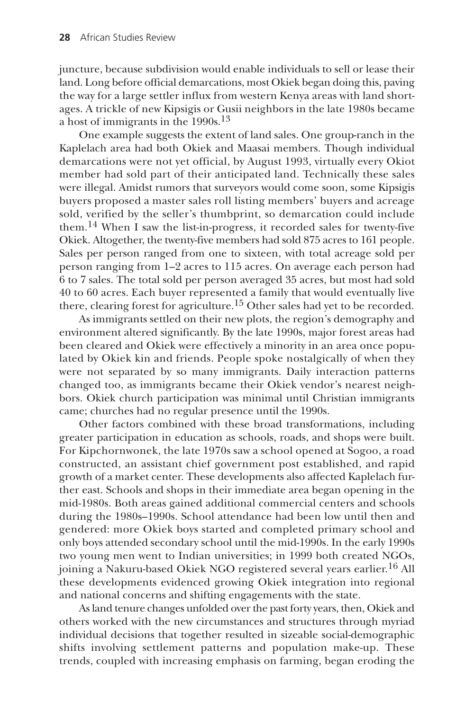juncture, because subdivision would enable individuals to sell or lease their land. Long before official demarcations, most Okiek began doing this, paving the way for a large settler influx from western Kenya areas with land shortages. A trickle of new Kipsigis or Gusii neighbors in the late 1980s became a host of immigrants in the 1990s.13

One example suggests the extent of land sales. One group-ranch in the Kaplelach area had both Okiek and Maasai members. Though individual demarcations were not yet official, by August 1993, virtually every Okiot member had sold part of their anticipated land. Technically these sales were illegal. Amidst rumors that surveyors would come soon, some Kipsigis buyers proposed a master sales roll listing members' buyers and acreage sold, verified by the seller's thumbprint, so demarcation could include them.14 When I saw the list-in-progress, it recorded sales for twenty-five Okiek. Altogether, the twenty-five members had sold 875 acres to 161 people. Sales per person ranged from one to sixteen, with total acreage sold per person ranging from 1–2 acres to 115 acres. On average each person had 6 to 7 sales. The total sold per person averaged 35 acres, but most had sold 40 to 60 acres. Each buyer represented a family that would eventually live there, clearing forest for agriculture.<sup>15</sup> Other sales had yet to be recorded.

As immigrants settled on their new plots, the region's demography and environment altered significantly. By the late 1990s, major forest areas had been cleared and Okiek were effectively a minority in an area once populated by Okiek kin and friends. People spoke nostalgically of when they were not separated by so many immigrants. Daily interaction patterns changed too, as immigrants became their Okiek vendor's nearest neighbors. Okiek church participation was minimal until Christian immigrants came; churches had no regular presence until the 1990s.

Other factors combined with these broad transformations, including greater participation in education as schools, roads, and shops were built. For Kipchornwonek, the late 1970s saw a school opened at Sogoo, a road constructed, an assistant chief government post established, and rapid growth of a market center. These developments also affected Kaplelach further east. Schools and shops in their immediate area began opening in the mid-1980s. Both areas gained additional commercial centers and schools during the 1980s–1990s. School attendance had been low until then and gendered: more Okiek boys started and completed primary school and only boys attended secondary school until the mid-1990s. In the early 1990s two young men went to Indian universities; in 1999 both created NGOs, joining a Nakuru-based Okiek NGO registered several years earlier.<sup>16</sup> All these developments evidenced growing Okiek integration into regional and national concerns and shifting engagements with the state.

As land tenure changes unfolded over the past forty years, then, Okiek and others worked with the new circumstances and structures through myriad individual decisions that together resulted in sizeable social-demographic shifts involving settlement patterns and population make-up. These trends, coupled with increasing emphasis on farming, began eroding the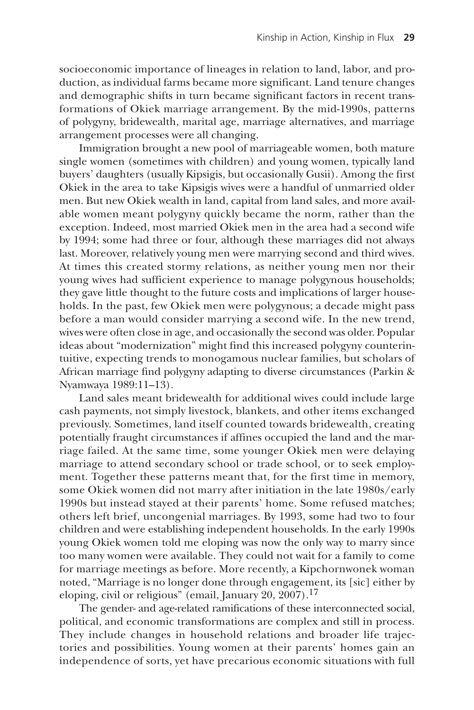socioeconomic importance of lineages in relation to land, labor, and production, as individual farms became more significant. Land tenure changes and demographic shifts in turn became significant factors in recent transformations of Okiek marriage arrangement. By the mid-1990s, patterns of polygyny, bridewealth, marital age, marriage alternatives, and marriage arrangement processes were all changing.

Immigration brought a new pool of marriageable women, both mature single women (sometimes with children) and young women, typically land buyers' daughters (usually Kipsigis, but occasionally Gusii). Among the first Okiek in the area to take Kipsigis wives were a handful of unmarried older men. But new Okiek wealth in land, capital from land sales, and more available women meant polygyny quickly became the norm, rather than the exception. Indeed, most married Okiek men in the area had a second wife by 1994; some had three or four, although these marriages did not always last. Moreover, relatively young men were marrying second and third wives. At times this created stormy relations, as neither young men nor their young wives had sufficient experience to manage polygynous households; they gave little thought to the future costs and implications of larger households. In the past, few Okiek men were polygynous; a decade might pass before a man would consider marrying a second wife. In the new trend, wives were often close in age, and occasionally the second was older. Popular ideas about "modernization" might find this increased polygyny counterintuitive, expecting trends to monogamous nuclear families, but scholars of African marriage find polygyny adapting to diverse circumstances (Parkin & Nyamwaya 1989:11–13).

Land sales meant bridewealth for additional wives could include large cash payments, not simply livestock, blankets, and other items exchanged previously. Sometimes, land itself counted towards bridewealth, creating potentially fraught circumstances if affines occupied the land and the marriage failed. At the same time, some younger Okiek men were delaying marriage to attend secondary school or trade school, or to seek employment. Together these patterns meant that, for the first time in memory, some Okiek women did not marry after initiation in the late 1980s/early 1990s but instead stayed at their parents' home. Some refused matches; others left brief, uncongenial marriages. By 1993, some had two to four children and were establishing independent households. In the early 1990s young Okiek women told me eloping was now the only way to marry since too many women were available. They could not wait for a family to come for marriage meetings as before. More recently, a Kipchornwonek woman noted, "Marriage is no longer done through engagement, its [sic] either by eloping, civil or religious" (email, January 20, 2007).17

The gender- and age-related ramifications of these interconnected social, political, and economic transformations are complex and still in process. They include changes in household relations and broader life trajectories and possibilities. Young women at their parents' homes gain an independence of sorts, yet have precarious economic situations with full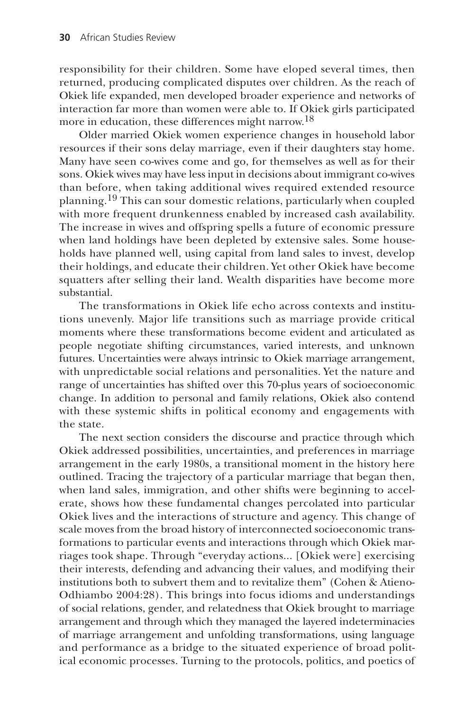responsibility for their children. Some have eloped several times, then returned, producing complicated disputes over children. As the reach of Okiek life expanded, men developed broader experience and networks of interaction far more than women were able to. If Okiek girls participated more in education, these differences might narrow.18

Older married Okiek women experience changes in household labor resources if their sons delay marriage, even if their daughters stay home. Many have seen co-wives come and go, for themselves as well as for their sons. Okiek wives may have less input in decisions about immigrant co-wives than before, when taking additional wives required extended resource planning.19 This can sour domestic relations, particularly when coupled with more frequent drunkenness enabled by increased cash availability. The increase in wives and offspring spells a future of economic pressure when land holdings have been depleted by extensive sales. Some households have planned well, using capital from land sales to invest, develop their holdings, and educate their children. Yet other Okiek have become squatters after selling their land. Wealth disparities have become more substantial.

The transformations in Okiek life echo across contexts and institutions unevenly. Major life transitions such as marriage provide critical moments where these transformations become evident and articulated as people negotiate shifting circumstances, varied interests, and unknown futures. Uncertainties were always intrinsic to Okiek marriage arrangement, with unpredictable social relations and personalities. Yet the nature and range of uncertainties has shifted over this 70-plus years of socioeconomic change. In addition to personal and family relations, Okiek also contend with these systemic shifts in political economy and engagements with the state.

The next section considers the discourse and practice through which Okiek addressed possibilities, uncertainties, and preferences in marriage arrangement in the early 1980s, a transitional moment in the history here outlined. Tracing the trajectory of a particular marriage that began then, when land sales, immigration, and other shifts were beginning to accelerate, shows how these fundamental changes percolated into particular Okiek lives and the interactions of structure and agency. This change of scale moves from the broad history of interconnected socioeconomic transformations to particular events and interactions through which Okiek marriages took shape. Through "everyday actions... [Okiek were] exercising their interests, defending and advancing their values, and modifying their institutions both to subvert them and to revitalize them" (Cohen & Atieno-Odhiambo 2004:28). This brings into focus idioms and understandings of social relations, gender, and relatedness that Okiek brought to marriage arrangement and through which they managed the layered indeterminacies of marriage arrangement and unfolding transformations, using language and performance as a bridge to the situated experience of broad political economic processes. Turning to the protocols, politics, and poetics of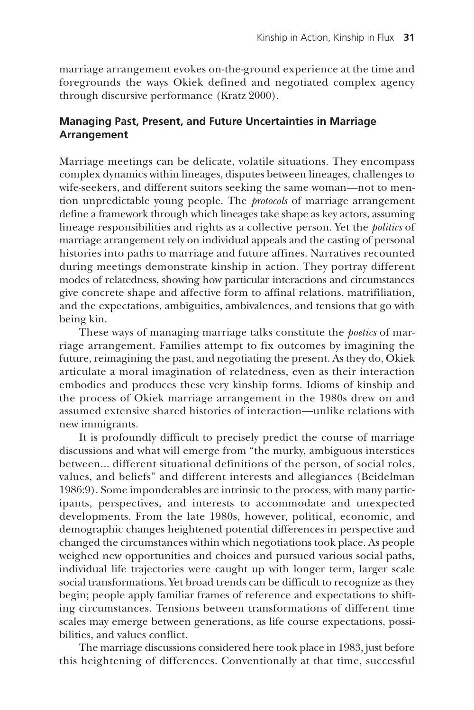marriage arrangement evokes on-the-ground experience at the time and foregrounds the ways Okiek defined and negotiated complex agency through discursive performance (Kratz 2000).

## **Managing Past, Present, and Future Uncertainties in Marriage Arrangement**

Marriage meetings can be delicate, volatile situations. They encompass complex dynamics within lineages, disputes between lineages, challenges to wife-seekers, and different suitors seeking the same woman—not to mention unpredictable young people. The *protocols* of marriage arrangement define a framework through which lineages take shape as key actors, assuming lineage responsibilities and rights as a collective person. Yet the *politics* of marriage arrangement rely on individual appeals and the casting of personal histories into paths to marriage and future affines. Narratives recounted during meetings demonstrate kinship in action. They portray different modes of relatedness, showing how particular interactions and circumstances give concrete shape and affective form to affinal relations, matrifiliation, and the expectations, ambiguities, ambivalences, and tensions that go with being kin.

These ways of managing marriage talks constitute the *poetics* of marriage arrangement. Families attempt to fix outcomes by imagining the future, reimagining the past, and negotiating the present. As they do, Okiek articulate a moral imagination of relatedness, even as their interaction embodies and produces these very kinship forms. Idioms of kinship and the process of Okiek marriage arrangement in the 1980s drew on and assumed extensive shared histories of interaction—unlike relations with new immigrants.

It is profoundly difficult to precisely predict the course of marriage discussions and what will emerge from "the murky, ambiguous interstices between... different situational definitions of the person, of social roles, values, and beliefs" and different interests and allegiances (Beidelman 1986:9). Some imponderables are intrinsic to the process, with many participants, perspectives, and interests to accommodate and unexpected developments. From the late 1980s, however, political, economic, and demographic changes heightened potential differences in perspective and changed the circumstances within which negotiations took place. As people weighed new opportunities and choices and pursued various social paths, individual life trajectories were caught up with longer term, larger scale social transformations. Yet broad trends can be difficult to recognize as they begin; people apply familiar frames of reference and expectations to shifting circumstances. Tensions between transformations of different time scales may emerge between generations, as life course expectations, possibilities, and values conflict.

The marriage discussions considered here took place in 1983, just before this heightening of differences. Conventionally at that time, successful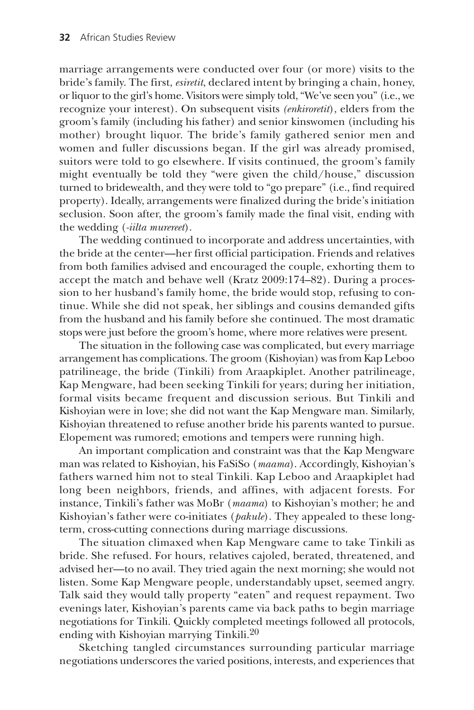marriage arrangements were conducted over four (or more) visits to the bride's family. The first, *esiretit*, declared intent by bringing a chain, honey, or liquor to the girl's home. Visitors were simply told, "We've seen you" (i.e., we recognize your interest). On subsequent visits *(enkiroretit*), elders from the groom's family (including his father) and senior kinswomen (including his mother) brought liquor. The bride's family gathered senior men and women and fuller discussions began. If the girl was already promised, suitors were told to go elsewhere. If visits continued, the groom's family might eventually be told they "were given the child/house," discussion turned to bridewealth, and they were told to "go prepare" (i.e., find required property). Ideally, arrangements were finalized during the bride's initiation seclusion. Soon after, the groom's family made the final visit, ending with the wedding (*-iilta murereet*).

The wedding continued to incorporate and address uncertainties, with the bride at the center—her first official participation. Friends and relatives from both families advised and encouraged the couple, exhorting them to accept the match and behave well (Kratz 2009:174–82). During a procession to her husband's family home, the bride would stop, refusing to continue. While she did not speak, her siblings and cousins demanded gifts from the husband and his family before she continued. The most dramatic stops were just before the groom's home, where more relatives were present.

The situation in the following case was complicated, but every marriage arrangement has complications. The groom (Kishoyian) was from Kap Leboo patrilineage, the bride (Tinkili) from Araapkiplet. Another patrilineage, Kap Mengware, had been seeking Tinkili for years; during her initiation, formal visits became frequent and discussion serious. But Tinkili and Kishoyian were in love; she did not want the Kap Mengware man. Similarly, Kishoyian threatened to refuse another bride his parents wanted to pursue. Elopement was rumored; emotions and tempers were running high.

An important complication and constraint was that the Kap Mengware man was related to Kishoyian, his FaSiSo (*maama*). Accordingly, Kishoyian's fathers warned him not to steal Tinkili. Kap Leboo and Araapkiplet had long been neighbors, friends, and affines, with adjacent forests. For instance, Tinkili's father was MoBr (*maama*) to Kishoyian's mother; he and Kishoyian's father were co-initiates (*pakule*). They appealed to these longterm, cross-cutting connections during marriage discussions.

The situation climaxed when Kap Mengware came to take Tinkili as bride. She refused. For hours, relatives cajoled, berated, threatened, and advised her—to no avail. They tried again the next morning; she would not listen. Some Kap Mengware people, understandably upset, seemed angry. Talk said they would tally property "eaten" and request repayment. Two evenings later, Kishoyian's parents came via back paths to begin marriage negotiations for Tinkili. Quickly completed meetings followed all protocols, ending with Kishoyian marrying Tinkili.20

Sketching tangled circumstances surrounding particular marriage negotiations underscores the varied positions, interests, and experiences that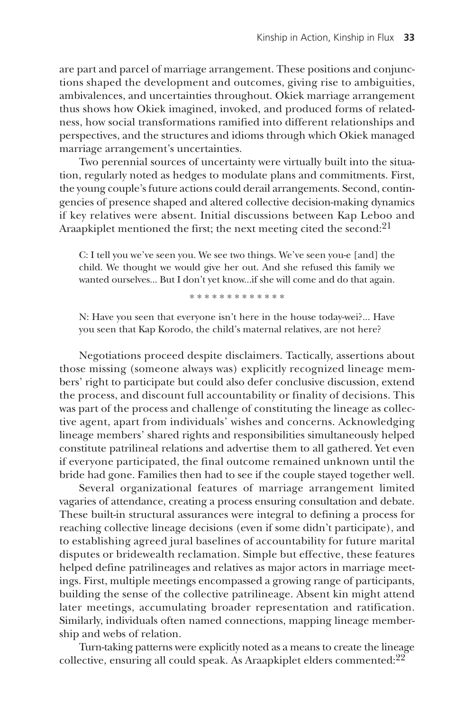are part and parcel of marriage arrangement. These positions and conjunctions shaped the development and outcomes, giving rise to ambiguities, ambivalences, and uncertainties throughout. Okiek marriage arrangement thus shows how Okiek imagined, invoked, and produced forms of relatedness, how social transformations ramified into different relationships and perspectives, and the structures and idioms through which Okiek managed marriage arrangement's uncertainties.

Two perennial sources of uncertainty were virtually built into the situation, regularly noted as hedges to modulate plans and commitments. First, the young couple's future actions could derail arrangements. Second, contingencies of presence shaped and altered collective decision-making dynamics if key relatives were absent. Initial discussions between Kap Leboo and Araapkiplet mentioned the first; the next meeting cited the second:<sup>21</sup>

C: I tell you we've seen you. We see two things. We've seen you-e [and] the child. We thought we would give her out. And she refused this family we wanted ourselves... But I don't yet know...if she will come and do that again.

\* \* \* \* \* \* \* \* \* \* \* \* \*

N: Have you seen that everyone isn't here in the house today-wei?... Have you seen that Kap Korodo, the child's maternal relatives, are not here?

Negotiations proceed despite disclaimers. Tactically, assertions about those missing (someone always was) explicitly recognized lineage members' right to participate but could also defer conclusive discussion, extend the process, and discount full accountability or finality of decisions. This was part of the process and challenge of constituting the lineage as collective agent, apart from individuals' wishes and concerns. Acknowledging lineage members' shared rights and responsibilities simultaneously helped constitute patrilineal relations and advertise them to all gathered. Yet even if everyone participated, the final outcome remained unknown until the bride had gone. Families then had to see if the couple stayed together well.

Several organizational features of marriage arrangement limited vagaries of attendance, creating a process ensuring consultation and debate. These built-in structural assurances were integral to defining a process for reaching collective lineage decisions (even if some didn't participate), and to establishing agreed jural baselines of accountability for future marital disputes or bridewealth reclamation. Simple but effective, these features helped define patrilineages and relatives as major actors in marriage meetings. First, multiple meetings encompassed a growing range of participants, building the sense of the collective patrilineage. Absent kin might attend later meetings, accumulating broader representation and ratification. Similarly, individuals often named connections, mapping lineage membership and webs of relation.

Turn-taking patterns were explicitly noted as a means to create the lineage collective, ensuring all could speak. As Araapkiplet elders commented:22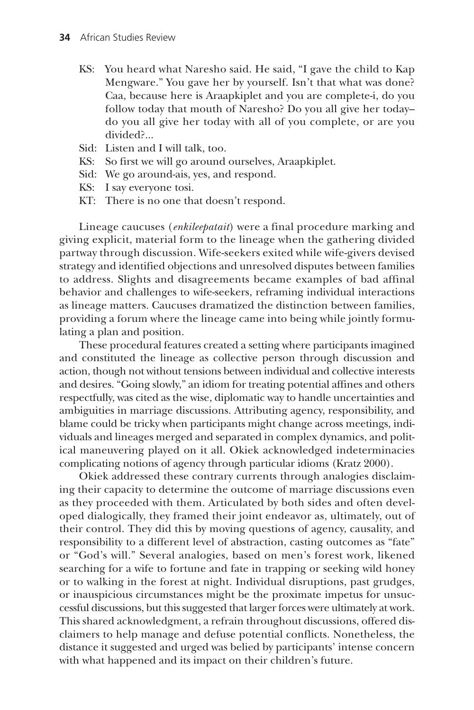- KS: You heard what Naresho said. He said, "I gave the child to Kap Mengware." You gave her by yourself. Isn't that what was done? Caa, because here is Araapkiplet and you are complete-i, do you follow today that mouth of Naresho? Do you all give her today– do you all give her today with all of you complete, or are you divided?...
- Sid: Listen and I will talk, too.
- KS: So first we will go around ourselves, Araapkiplet.
- Sid: We go around-ais, yes, and respond.
- KS: I say everyone tosi.
- KT: There is no one that doesn't respond.

Lineage caucuses (*enkileepatait*) were a final procedure marking and giving explicit, material form to the lineage when the gathering divided partway through discussion. Wife-seekers exited while wife-givers devised strategy and identified objections and unresolved disputes between families to address. Slights and disagreements became examples of bad affinal behavior and challenges to wife-seekers, reframing individual interactions as lineage matters. Caucuses dramatized the distinction between families, providing a forum where the lineage came into being while jointly formulating a plan and position.

These procedural features created a setting where participants imagined and constituted the lineage as collective person through discussion and action, though not without tensions between individual and collective interests and desires. "Going slowly," an idiom for treating potential affines and others respectfully, was cited as the wise, diplomatic way to handle uncertainties and ambiguities in marriage discussions. Attributing agency, responsibility, and blame could be tricky when participants might change across meetings, individuals and lineages merged and separated in complex dynamics, and political maneuvering played on it all. Okiek acknowledged indeterminacies complicating notions of agency through particular idioms (Kratz 2000).

Okiek addressed these contrary currents through analogies disclaiming their capacity to determine the outcome of marriage discussions even as they proceeded with them. Articulated by both sides and often developed dialogically, they framed their joint endeavor as, ultimately, out of their control. They did this by moving questions of agency, causality, and responsibility to a different level of abstraction, casting outcomes as "fate" or "God's will." Several analogies, based on men's forest work, likened searching for a wife to fortune and fate in trapping or seeking wild honey or to walking in the forest at night. Individual disruptions, past grudges, or inauspicious circumstances might be the proximate impetus for unsuccessful discussions, but this suggested that larger forces were ultimately at work. This shared acknowledgment, a refrain throughout discussions, offered disclaimers to help manage and defuse potential conflicts. Nonetheless, the distance it suggested and urged was belied by participants' intense concern with what happened and its impact on their children's future.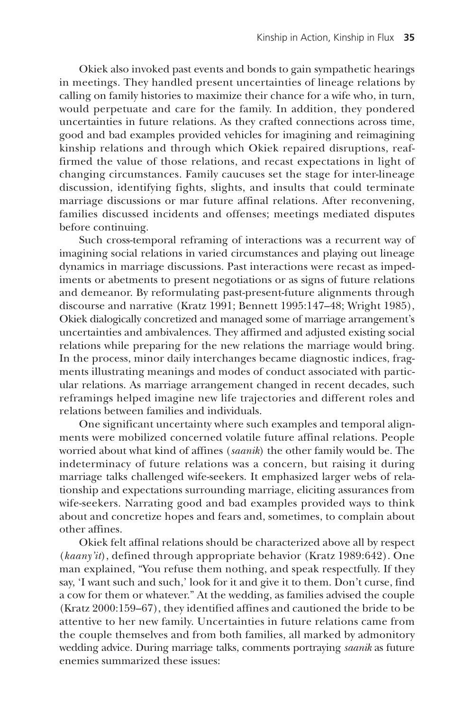Okiek also invoked past events and bonds to gain sympathetic hearings in meetings. They handled present uncertainties of lineage relations by calling on family histories to maximize their chance for a wife who, in turn, would perpetuate and care for the family. In addition, they pondered uncertainties in future relations. As they crafted connections across time, good and bad examples provided vehicles for imagining and reimagining kinship relations and through which Okiek repaired disruptions, reaffirmed the value of those relations, and recast expectations in light of changing circumstances. Family caucuses set the stage for inter-lineage discussion, identifying fights, slights, and insults that could terminate marriage discussions or mar future affinal relations. After reconvening, families discussed incidents and offenses; meetings mediated disputes before continuing.

Such cross-temporal reframing of interactions was a recurrent way of imagining social relations in varied circumstances and playing out lineage dynamics in marriage discussions. Past interactions were recast as impediments or abetments to present negotiations or as signs of future relations and demeanor. By reformulating past-present-future alignments through discourse and narrative (Kratz 1991; Bennett 1995:147–48; Wright 1985), Okiek dialogically concretized and managed some of marriage arrangement's uncertainties and ambivalences. They affirmed and adjusted existing social relations while preparing for the new relations the marriage would bring. In the process, minor daily interchanges became diagnostic indices, fragments illustrating meanings and modes of conduct associated with particular relations. As marriage arrangement changed in recent decades, such reframings helped imagine new life trajectories and different roles and relations between families and individuals.

One significant uncertainty where such examples and temporal alignments were mobilized concerned volatile future affinal relations. People worried about what kind of affines (*saanik*) the other family would be. The indeterminacy of future relations was a concern, but raising it during marriage talks challenged wife-seekers. It emphasized larger webs of relationship and expectations surrounding marriage, eliciting assurances from wife-seekers. Narrating good and bad examples provided ways to think about and concretize hopes and fears and, sometimes, to complain about other affines.

Okiek felt affinal relations should be characterized above all by respect (*kaany'it*), defined through appropriate behavior (Kratz 1989:642). One man explained, "You refuse them nothing, and speak respectfully. If they say, 'I want such and such,' look for it and give it to them. Don't curse, find a cow for them or whatever." At the wedding, as families advised the couple (Kratz 2000:159–67), they identified affines and cautioned the bride to be attentive to her new family. Uncertainties in future relations came from the couple themselves and from both families, all marked by admonitory wedding advice. During marriage talks, comments portraying *saanik* as future enemies summarized these issues: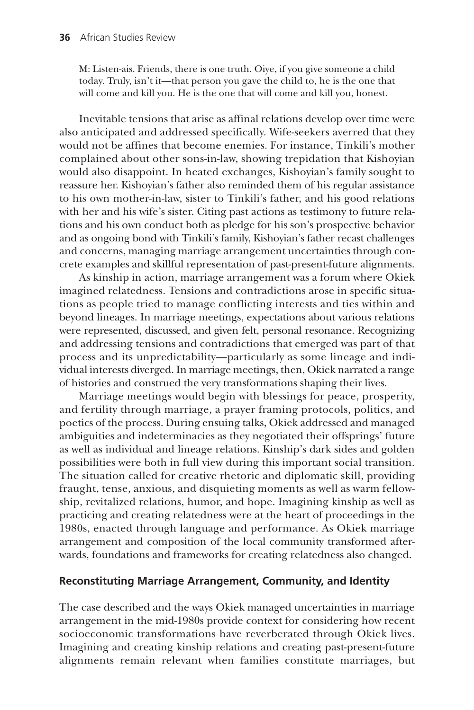M: Listen-ais. Friends, there is one truth. Oiye, if you give someone a child today. Truly, isn't it—that person you gave the child to, he is the one that will come and kill you. He is the one that will come and kill you, honest.

Inevitable tensions that arise as affinal relations develop over time were also anticipated and addressed specifically. Wife-seekers averred that they would not be affines that become enemies. For instance, Tinkili's mother complained about other sons-in-law, showing trepidation that Kishoyian would also disappoint. In heated exchanges, Kishoyian's family sought to reassure her. Kishoyian's father also reminded them of his regular assistance to his own mother-in-law, sister to Tinkili's father, and his good relations with her and his wife's sister. Citing past actions as testimony to future relations and his own conduct both as pledge for his son's prospective behavior and as ongoing bond with Tinkili's family, Kishoyian's father recast challenges and concerns, managing marriage arrangement uncertainties through concrete examples and skillful representation of past-present-future alignments.

As kinship in action, marriage arrangement was a forum where Okiek imagined relatedness. Tensions and contradictions arose in specific situations as people tried to manage conflicting interests and ties within and beyond lineages. In marriage meetings, expectations about various relations were represented, discussed, and given felt, personal resonance. Recognizing and addressing tensions and contradictions that emerged was part of that process and its unpredictability—particularly as some lineage and individual interests diverged. In marriage meetings, then, Okiek narrated a range of histories and construed the very transformations shaping their lives.

Marriage meetings would begin with blessings for peace, prosperity, and fertility through marriage, a prayer framing protocols, politics, and poetics of the process. During ensuing talks, Okiek addressed and managed ambiguities and indeterminacies as they negotiated their offsprings' future as well as individual and lineage relations. Kinship's dark sides and golden possibilities were both in full view during this important social transition. The situation called for creative rhetoric and diplomatic skill, providing fraught, tense, anxious, and disquieting moments as well as warm fellowship, revitalized relations, humor, and hope. Imagining kinship as well as practicing and creating relatedness were at the heart of proceedings in the 1980s, enacted through language and performance. As Okiek marriage arrangement and composition of the local community transformed afterwards, foundations and frameworks for creating relatedness also changed.

## **Reconstituting Marriage Arrangement, Community, and Identity**

The case described and the ways Okiek managed uncertainties in marriage arrangement in the mid-1980s provide context for considering how recent socioeconomic transformations have reverberated through Okiek lives. Imagining and creating kinship relations and creating past-present-future alignments remain relevant when families constitute marriages, but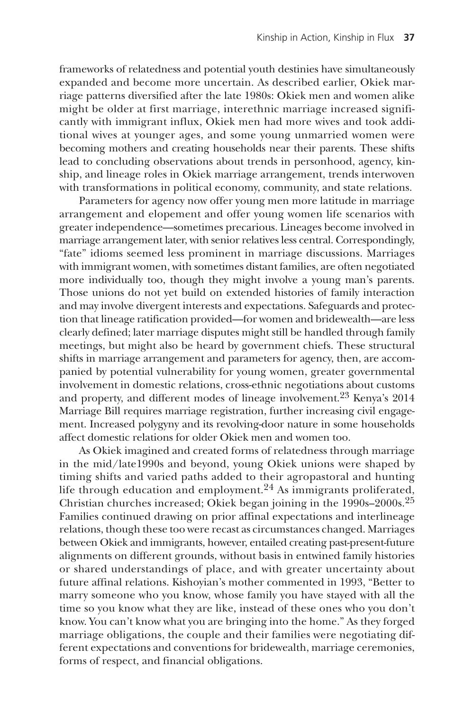frameworks of relatedness and potential youth destinies have simultaneously expanded and become more uncertain. As described earlier, Okiek marriage patterns diversified after the late 1980s: Okiek men and women alike might be older at first marriage, interethnic marriage increased significantly with immigrant influx, Okiek men had more wives and took additional wives at younger ages, and some young unmarried women were becoming mothers and creating households near their parents. These shifts lead to concluding observations about trends in personhood, agency, kinship, and lineage roles in Okiek marriage arrangement, trends interwoven with transformations in political economy, community, and state relations.

Parameters for agency now offer young men more latitude in marriage arrangement and elopement and offer young women life scenarios with greater independence—sometimes precarious. Lineages become involved in marriage arrangement later, with senior relatives less central. Correspondingly, "fate" idioms seemed less prominent in marriage discussions. Marriages with immigrant women, with sometimes distant families, are often negotiated more individually too, though they might involve a young man's parents. Those unions do not yet build on extended histories of family interaction and may involve divergent interests and expectations. Safeguards and protection that lineage ratification provided—for women and bridewealth—are less clearly defined; later marriage disputes might still be handled through family meetings, but might also be heard by government chiefs. These structural shifts in marriage arrangement and parameters for agency, then, are accompanied by potential vulnerability for young women, greater governmental involvement in domestic relations, cross-ethnic negotiations about customs and property, and different modes of lineage involvement.23 Kenya's 2014 Marriage Bill requires marriage registration, further increasing civil engagement. Increased polygyny and its revolving-door nature in some households affect domestic relations for older Okiek men and women too.

As Okiek imagined and created forms of relatedness through marriage in the mid/late1990s and beyond, young Okiek unions were shaped by timing shifts and varied paths added to their agropastoral and hunting life through education and employment.<sup>24</sup> As immigrants proliferated, Christian churches increased; Okiek began joining in the 1990s–2000s.25 Families continued drawing on prior affinal expectations and interlineage relations, though these too were recast as circumstances changed. Marriages between Okiek and immigrants, however, entailed creating past-present-future alignments on different grounds, without basis in entwined family histories or shared understandings of place, and with greater uncertainty about future affinal relations. Kishoyian's mother commented in 1993, "Better to marry someone who you know, whose family you have stayed with all the time so you know what they are like, instead of these ones who you don't know. You can't know what you are bringing into the home." As they forged marriage obligations, the couple and their families were negotiating different expectations and conventions for bridewealth, marriage ceremonies, forms of respect, and financial obligations.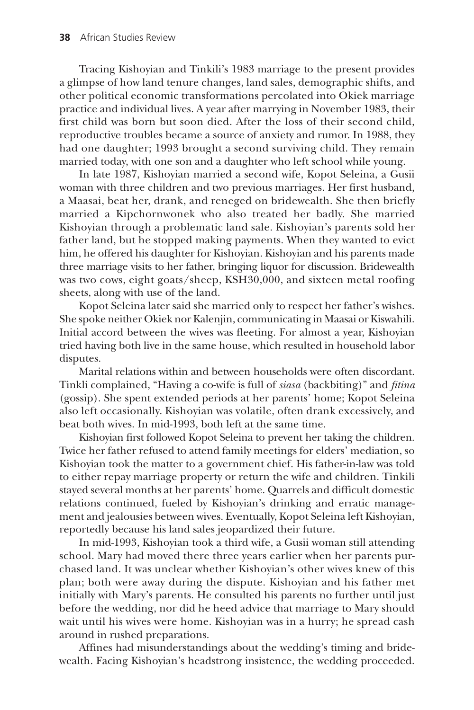Tracing Kishoyian and Tinkili's 1983 marriage to the present provides a glimpse of how land tenure changes, land sales, demographic shifts, and other political economic transformations percolated into Okiek marriage practice and individual lives. A year after marrying in November 1983, their first child was born but soon died. After the loss of their second child, reproductive troubles became a source of anxiety and rumor. In 1988, they had one daughter; 1993 brought a second surviving child. They remain married today, with one son and a daughter who left school while young.

In late 1987, Kishoyian married a second wife, Kopot Seleina, a Gusii woman with three children and two previous marriages. Her first husband, a Maasai, beat her, drank, and reneged on bridewealth. She then briefly married a Kipchornwonek who also treated her badly. She married Kishoyian through a problematic land sale. Kishoyian's parents sold her father land, but he stopped making payments. When they wanted to evict him, he offered his daughter for Kishoyian. Kishoyian and his parents made three marriage visits to her father, bringing liquor for discussion. Bridewealth was two cows, eight goats/sheep, KSH30,000, and sixteen metal roofing sheets, along with use of the land.

Kopot Seleina later said she married only to respect her father's wishes. She spoke neither Okiek nor Kalenjin, communicating in Maasai or Kiswahili. Initial accord between the wives was fleeting. For almost a year, Kishoyian tried having both live in the same house, which resulted in household labor disputes.

Marital relations within and between households were often discordant. Tinkli complained, "Having a co-wife is full of *siasa* (backbiting)" and *fitina* (gossip). She spent extended periods at her parents' home; Kopot Seleina also left occasionally. Kishoyian was volatile, often drank excessively, and beat both wives. In mid-1993, both left at the same time.

Kishoyian first followed Kopot Seleina to prevent her taking the children. Twice her father refused to attend family meetings for elders' mediation, so Kishoyian took the matter to a government chief. His father-in-law was told to either repay marriage property or return the wife and children. Tinkili stayed several months at her parents' home. Quarrels and difficult domestic relations continued, fueled by Kishoyian's drinking and erratic management and jealousies between wives. Eventually, Kopot Seleina left Kishoyian, reportedly because his land sales jeopardized their future.

In mid-1993, Kishoyian took a third wife, a Gusii woman still attending school. Mary had moved there three years earlier when her parents purchased land. It was unclear whether Kishoyian's other wives knew of this plan; both were away during the dispute. Kishoyian and his father met initially with Mary's parents. He consulted his parents no further until just before the wedding, nor did he heed advice that marriage to Mary should wait until his wives were home. Kishoyian was in a hurry; he spread cash around in rushed preparations.

Affines had misunderstandings about the wedding's timing and bridewealth. Facing Kishoyian's headstrong insistence, the wedding proceeded.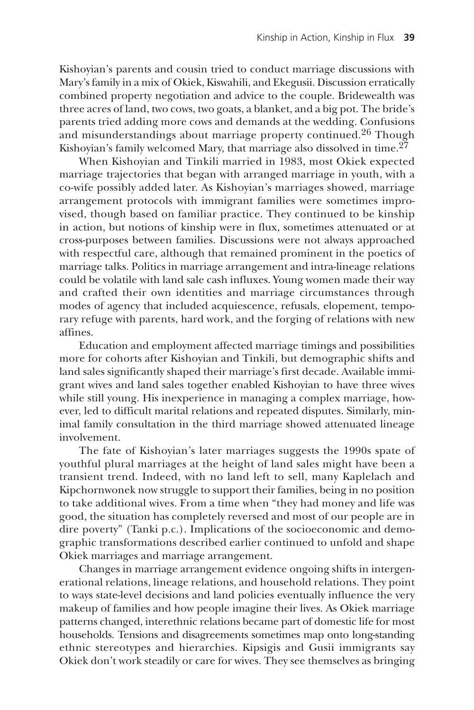Kishoyian's parents and cousin tried to conduct marriage discussions with Mary's family in a mix of Okiek, Kiswahili, and Ekegusii. Discussion erratically combined property negotiation and advice to the couple. Bridewealth was three acres of land, two cows, two goats, a blanket, and a big pot. The bride's parents tried adding more cows and demands at the wedding. Confusions and misunderstandings about marriage property continued.<sup>26</sup> Though Kishoyian's family welcomed Mary, that marriage also dissolved in time.<sup>27</sup>

When Kishoyian and Tinkili married in 1983, most Okiek expected marriage trajectories that began with arranged marriage in youth, with a co-wife possibly added later. As Kishoyian's marriages showed, marriage arrangement protocols with immigrant families were sometimes improvised, though based on familiar practice. They continued to be kinship in action, but notions of kinship were in flux, sometimes attenuated or at cross-purposes between families. Discussions were not always approached with respectful care, although that remained prominent in the poetics of marriage talks. Politics in marriage arrangement and intra-lineage relations could be volatile with land sale cash influxes. Young women made their way and crafted their own identities and marriage circumstances through modes of agency that included acquiescence, refusals, elopement, temporary refuge with parents, hard work, and the forging of relations with new affines.

Education and employment affected marriage timings and possibilities more for cohorts after Kishoyian and Tinkili, but demographic shifts and land sales significantly shaped their marriage's first decade. Available immigrant wives and land sales together enabled Kishoyian to have three wives while still young. His inexperience in managing a complex marriage, however, led to difficult marital relations and repeated disputes. Similarly, minimal family consultation in the third marriage showed attenuated lineage involvement.

The fate of Kishoyian's later marriages suggests the 1990s spate of youthful plural marriages at the height of land sales might have been a transient trend. Indeed, with no land left to sell, many Kaplelach and Kipchornwonek now struggle to support their families, being in no position to take additional wives. From a time when "they had money and life was good, the situation has completely reversed and most of our people are in dire poverty" (Tanki p.c.). Implications of the socioeconomic and demographic transformations described earlier continued to unfold and shape Okiek marriages and marriage arrangement.

Changes in marriage arrangement evidence ongoing shifts in intergenerational relations, lineage relations, and household relations. They point to ways state-level decisions and land policies eventually influence the very makeup of families and how people imagine their lives. As Okiek marriage patterns changed, interethnic relations became part of domestic life for most households. Tensions and disagreements sometimes map onto long-standing ethnic stereotypes and hierarchies. Kipsigis and Gusii immigrants say Okiek don't work steadily or care for wives. They see themselves as bringing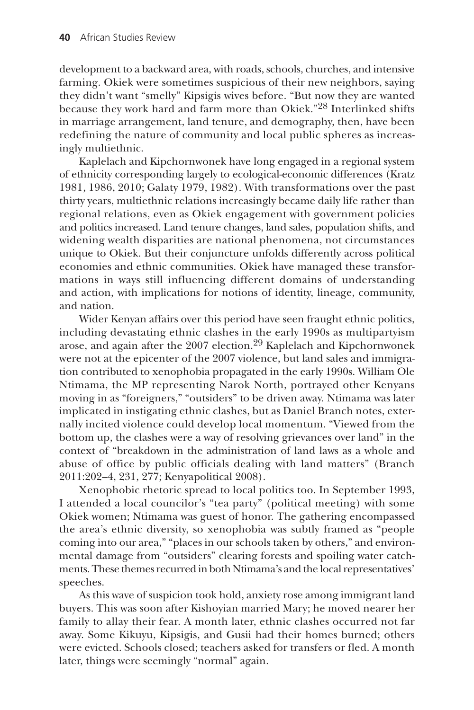development to a backward area, with roads, schools, churches, and intensive farming. Okiek were sometimes suspicious of their new neighbors, saying they didn't want "smelly" Kipsigis wives before. "But now they are wanted because they work hard and farm more than Okiek."28 Interlinked shifts in marriage arrangement, land tenure, and demography, then, have been redefining the nature of community and local public spheres as increasingly multiethnic.

Kaplelach and Kipchornwonek have long engaged in a regional system of ethnicity corresponding largely to ecological-economic differences (Kratz 1981, 1986, 2010; Galaty 1979, 1982). With transformations over the past thirty years, multiethnic relations increasingly became daily life rather than regional relations, even as Okiek engagement with government policies and politics increased. Land tenure changes, land sales, population shifts, and widening wealth disparities are national phenomena, not circumstances unique to Okiek. But their conjuncture unfolds differently across political economies and ethnic communities. Okiek have managed these transformations in ways still influencing different domains of understanding and action, with implications for notions of identity, lineage, community, and nation.

Wider Kenyan affairs over this period have seen fraught ethnic politics, including devastating ethnic clashes in the early 1990s as multipartyism arose, and again after the 2007 election.29 Kaplelach and Kipchornwonek were not at the epicenter of the 2007 violence, but land sales and immigration contributed to xenophobia propagated in the early 1990s. William Ole Ntimama, the MP representing Narok North, portrayed other Kenyans moving in as "foreigners," "outsiders" to be driven away. Ntimama was later implicated in instigating ethnic clashes, but as Daniel Branch notes, externally incited violence could develop local momentum. "Viewed from the bottom up, the clashes were a way of resolving grievances over land" in the context of "breakdown in the administration of land laws as a whole and abuse of office by public officials dealing with land matters" (Branch 2011:202–4, 231, 277; Kenyapolitical 2008).

Xenophobic rhetoric spread to local politics too. In September 1993, I attended a local councilor's "tea party" (political meeting) with some Okiek women; Ntimama was guest of honor. The gathering encompassed the area's ethnic diversity, so xenophobia was subtly framed as "people coming into our area," "places in our schools taken by others," and environmental damage from "outsiders" clearing forests and spoiling water catchments. These themes recurred in both Ntimama's and the local representatives' speeches.

As this wave of suspicion took hold, anxiety rose among immigrant land buyers. This was soon after Kishoyian married Mary; he moved nearer her family to allay their fear. A month later, ethnic clashes occurred not far away. Some Kikuyu, Kipsigis, and Gusii had their homes burned; others were evicted. Schools closed; teachers asked for transfers or fled. A month later, things were seemingly "normal" again.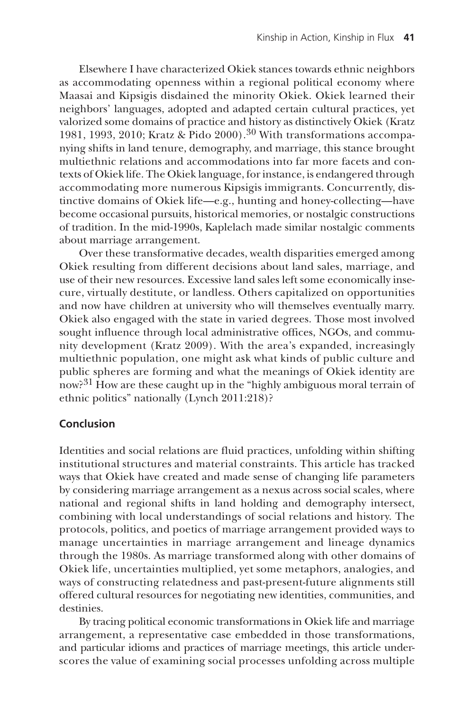Elsewhere I have characterized Okiek stances towards ethnic neighbors as accommodating openness within a regional political economy where Maasai and Kipsigis disdained the minority Okiek. Okiek learned their neighbors' languages, adopted and adapted certain cultural practices, yet valorized some domains of practice and history as distinctively Okiek (Kratz 1981, 1993, 2010; Kratz & Pido 2000).<sup>30</sup> With transformations accompanying shifts in land tenure, demography, and marriage, this stance brought multiethnic relations and accommodations into far more facets and contexts of Okiek life. The Okiek language, for instance, is endangered through accommodating more numerous Kipsigis immigrants. Concurrently, distinctive domains of Okiek life—e.g., hunting and honey-collecting—have become occasional pursuits, historical memories, or nostalgic constructions of tradition. In the mid-1990s, Kaplelach made similar nostalgic comments about marriage arrangement.

Over these transformative decades, wealth disparities emerged among Okiek resulting from different decisions about land sales, marriage, and use of their new resources. Excessive land sales left some economically insecure, virtually destitute, or landless. Others capitalized on opportunities and now have children at university who will themselves eventually marry. Okiek also engaged with the state in varied degrees. Those most involved sought influence through local administrative offices, NGOs, and community development (Kratz 2009). With the area's expanded, increasingly multiethnic population, one might ask what kinds of public culture and public spheres are forming and what the meanings of Okiek identity are now?31 How are these caught up in the "highly ambiguous moral terrain of ethnic politics" nationally (Lynch 2011:218)?

#### **Conclusion**

Identities and social relations are fluid practices, unfolding within shifting institutional structures and material constraints. This article has tracked ways that Okiek have created and made sense of changing life parameters by considering marriage arrangement as a nexus across social scales, where national and regional shifts in land holding and demography intersect, combining with local understandings of social relations and history. The protocols, politics, and poetics of marriage arrangement provided ways to manage uncertainties in marriage arrangement and lineage dynamics through the 1980s. As marriage transformed along with other domains of Okiek life, uncertainties multiplied, yet some metaphors, analogies, and ways of constructing relatedness and past-present-future alignments still offered cultural resources for negotiating new identities, communities, and destinies.

By tracing political economic transformations in Okiek life and marriage arrangement, a representative case embedded in those transformations, and particular idioms and practices of marriage meetings, this article underscores the value of examining social processes unfolding across multiple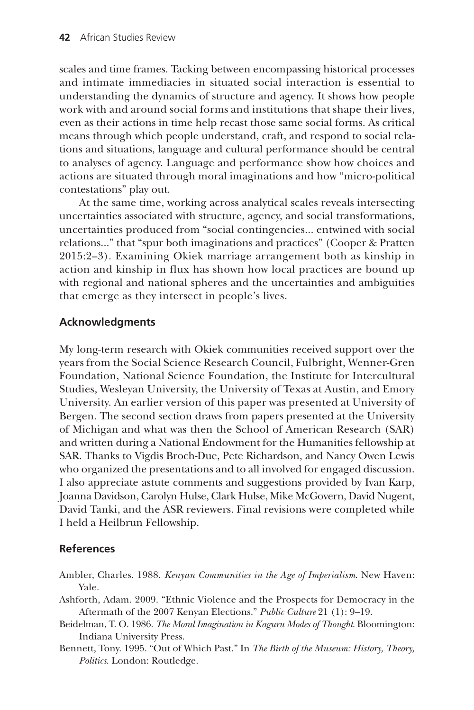scales and time frames. Tacking between encompassing historical processes and intimate immediacies in situated social interaction is essential to understanding the dynamics of structure and agency. It shows how people work with and around social forms and institutions that shape their lives, even as their actions in time help recast those same social forms. As critical means through which people understand, craft, and respond to social relations and situations, language and cultural performance should be central to analyses of agency. Language and performance show how choices and actions are situated through moral imaginations and how "micro-political contestations" play out.

At the same time, working across analytical scales reveals intersecting uncertainties associated with structure, agency, and social transformations, uncertainties produced from "social contingencies... entwined with social relations..." that "spur both imaginations and practices" (Cooper & Pratten 2015:2–3). Examining Okiek marriage arrangement both as kinship in action and kinship in flux has shown how local practices are bound up with regional and national spheres and the uncertainties and ambiguities that emerge as they intersect in people's lives.

# **Acknowledgments**

My long-term research with Okiek communities received support over the years from the Social Science Research Council, Fulbright, Wenner-Gren Foundation, National Science Foundation, the Institute for Intercultural Studies, Wesleyan University, the University of Texas at Austin, and Emory University. An earlier version of this paper was presented at University of Bergen. The second section draws from papers presented at the University of Michigan and what was then the School of American Research (SAR) and written during a National Endowment for the Humanities fellowship at SAR. Thanks to Vigdis Broch-Due, Pete Richardson, and Nancy Owen Lewis who organized the presentations and to all involved for engaged discussion. I also appreciate astute comments and suggestions provided by Ivan Karp, Joanna Davidson, Carolyn Hulse, Clark Hulse, Mike McGovern, David Nugent, David Tanki, and the ASR reviewers. Final revisions were completed while I held a Heilbrun Fellowship.

## **References**

- Ambler, Charles. 1988. *Kenyan Communities in the Age of Imperialism*. New Haven: Yale.
- Ashforth, Adam. 2009. "Ethnic Violence and the Prospects for Democracy in the Aftermath of the 2007 Kenyan Elections." *Public Culture* 21 (1): 9–19.
- Beidelman, T. O. 1986. *The Moral Imagination in Kaguru Modes of Thought*. Bloomington: Indiana University Press.
- Bennett, Tony. 1995. "Out of Which Past." In *The Birth of the Museum: History, Theory, Politics*. London: Routledge.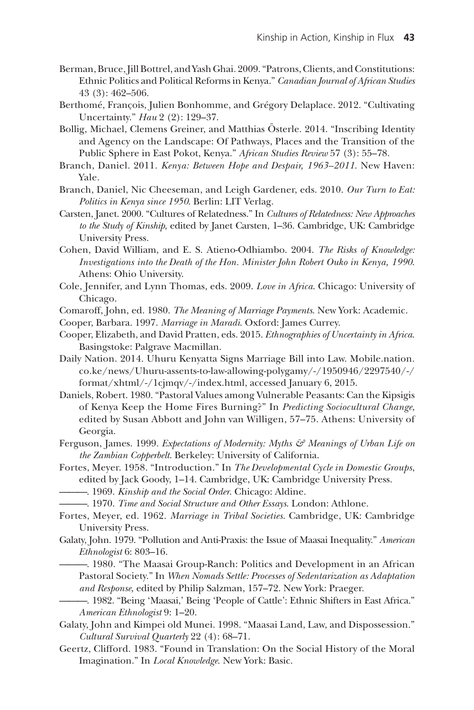- Berman, Bruce, Jill Bottrel, and Yash Ghai. 2009. "Patrons, Clients, and Constitutions: Ethnic Politics and Political Reforms in Kenya." *Canadian Journal of African Studies* 43 (3): 462–506.
- Berthomé, François, Julien Bonhomme, and Grégory Delaplace. 2012. "Cultivating Uncertainty." *Hau* 2 (2): 129–37.
- Bollig, Michael, Clemens Greiner, and Matthias Österle. 2014. "Inscribing Identity and Agency on the Landscape: Of Pathways, Places and the Transition of the Public Sphere in East Pokot, Kenya." *African Studies Review* 57 (3): 55–78.
- Branch, Daniel. 2011. *Kenya: Between Hope and Despair, 1963–2011*. New Haven: Yale.
- Branch, Daniel, Nic Cheeseman, and Leigh Gardener, eds. 2010. *Our Turn to Eat: Politics in Kenya since 1950*. Berlin: LIT Verlag.
- Carsten, Janet. 2000. "Cultures of Relatedness." In *Cultures of Relatedness: New Approaches to the Study of Kinship*, edited by Janet Carsten, 1–36. Cambridge, UK: Cambridge University Press.
- Cohen, David William, and E. S. Atieno-Odhiambo. 2004. *The Risks of Knowledge: Investigations into the Death of the Hon. Minister John Robert Ouko in Kenya, 1990*. Athens: Ohio University.
- Cole, Jennifer, and Lynn Thomas, eds. 2009. *Love in Africa*. Chicago: University of Chicago.
- Comaroff, John, ed. 1980. *The Meaning of Marriage Payments*. New York: Academic.
- Cooper, Barbara. 1997. *Marriage in Maradi*. Oxford: James Currey.
- Cooper, Elizabeth, and David Pratten, eds. 2015. *Ethnographies of Uncertainty in Africa*. Basingstoke: Palgrave Macmillan.
- Daily Nation. 2014. Uhuru Kenyatta Signs Marriage Bill into Law. [Mobile.nation.](http://Mobile.nation.co.ke/news/Uhuru-assents-to-law-allowing-polygamy/-/1950946/2297540/-/format/xhtml/-/1cjmqv/-/index.html) [co.ke/news/Uhuru-assents-to-law-allowing-polygamy/-/1950946/2297540/-/](http://Mobile.nation.co.ke/news/Uhuru-assents-to-law-allowing-polygamy/-/1950946/2297540/-/format/xhtml/-/1cjmqv/-/index.html) [format/xhtml/-/1cjmqv/-/index.html](http://Mobile.nation.co.ke/news/Uhuru-assents-to-law-allowing-polygamy/-/1950946/2297540/-/format/xhtml/-/1cjmqv/-/index.html), accessed January 6, 2015.
- Daniels, Robert. 1980. "Pastoral Values among Vulnerable Peasants: Can the Kipsigis of Kenya Keep the Home Fires Burning?" In *Predicting Sociocultural Change*, edited by Susan Abbott and John van Willigen, 57–75. Athens: University of Georgia.
- Ferguson, James. 1999. *Expectations of Modernity: Myths & Meanings of Urban Life on the Zambian Copperbelt*. Berkeley: University of California.
- Fortes, Meyer. 1958. "Introduction." In *The Developmental Cycle in Domestic Groups*, edited by Jack Goody, 1–14. Cambridge, UK: Cambridge University Press.
- ———. 1969. *Kinship and the Social Order*. Chicago: Aldine.
- ———. 1970. *Time and Social Structure and Other Essays*. London: Athlone.
- Fortes, Meyer, ed. 1962. *Marriage in Tribal Societies*. Cambridge, UK: Cambridge University Press.
- Galaty, John. 1979. "Pollution and Anti-Praxis: the Issue of Maasai Inequality." *American Ethnologist* 6: 803–16.
	- ———. 1980. "The Maasai Group-Ranch: Politics and Development in an African Pastoral Society." In *When Nomads Settle: Processes of Sedentarization as Adaptation and Response*, edited by Philip Salzman, 157–72. New York: Praeger.
- ———. 1982. "Being 'Maasai,' Being 'People of Cattle': Ethnic Shifters in East Africa." *American Ethnologist* 9: 1–20.
- Galaty, John and Kimpei old Munei. 1998. "Maasai Land, Law, and Dispossession." *Cultural Survival Quarterly* 22 (4): 68–71.
- Geertz, Clifford. 1983. "Found in Translation: On the Social History of the Moral Imagination." In *Local Knowledge*. New York: Basic.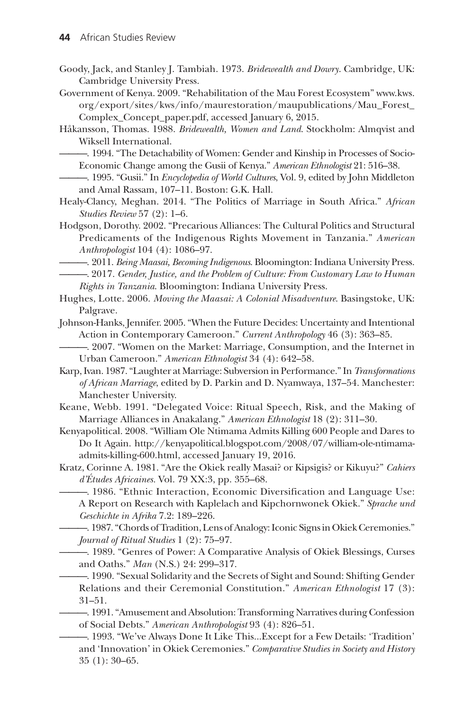- Goody, Jack, and Stanley J. Tambiah. 1973. *Bridewealth and Dowry*. Cambridge, UK: Cambridge University Press.
- Government of Kenya. 2009. "Rehabilitation of the Mau Forest Ecosystem" [www.kws.](http://www.kws.org/export/sites/kws/info/maurestoration/maupublications/Mau_Forest_Complex_Concept_paper.pdf) [org/export/sites/kws/info/maurestoration/maupublications/Mau\\_Forest\\_](http://www.kws.org/export/sites/kws/info/maurestoration/maupublications/Mau_Forest_Complex_Concept_paper.pdf) [Complex\\_Concept\\_paper.pdf,](http://www.kws.org/export/sites/kws/info/maurestoration/maupublications/Mau_Forest_Complex_Concept_paper.pdf) accessed January 6, 2015.
- Håkansson, Thomas. 1988. *Bridewealth, Women and Land*. Stockholm: Almqvist and Wiksell International.
	- ———. 1994. "The Detachability of Women: Gender and Kinship in Processes of Socio-Economic Change among the Gusii of Kenya." *American Ethnologist* 21: 516–38.
- ———. 1995. "Gusii." In *Encyclopedia of World Cultures*, Vol. 9, edited by John Middleton and Amal Rassam, 107–11. Boston: G.K. Hall.
- Healy-Clancy, Meghan. 2014. "The Politics of Marriage in South Africa." *African Studies Review* 57 (2): 1–6.
- Hodgson, Dorothy. 2002. "Precarious Alliances: The Cultural Politics and Structural Predicaments of the Indigenous Rights Movement in Tanzania." *American Anthropologist* 104 (4): 1086–97.
- ———. 2011. *Being Maasai, Becoming Indigenous*. Bloomington: Indiana University Press. ———. 2017. *Gender, Justice, and the Problem of Culture: From Customary Law to Human Rights in Tanzania*. Bloomington: Indiana University Press.
- Hughes, Lotte. 2006. *Moving the Maasai: A Colonial Misadventure*. Basingstoke, UK: Palgrave.
- Johnson-Hanks, Jennifer. 2005. "When the Future Decides: Uncertainty and Intentional Action in Contemporary Cameroon." *Current Anthropology* 46 (3): 363–85.
- ———. 2007. "Women on the Market: Marriage, Consumption, and the Internet in Urban Cameroon." *American Ethnologist* 34 (4): 642–58.
- Karp, Ivan. 1987. "Laughter at Marriage: Subversion in Performance." In *Transformations of African Marriage*, edited by D. Parkin and D. Nyamwaya, 137–54. Manchester: Manchester University.
- Keane, Webb. 1991. "Delegated Voice: Ritual Speech, Risk, and the Making of Marriage Alliances in Anakalang." *American Ethnologist* 18 (2): 311–30.
- Kenyapolitical. 2008. "William Ole Ntimama Admits Killing 600 People and Dares to Do It Again. [http://kenyapolitical.blogspot.com/2008/07/william-ole-ntimama](http://kenyapolitical.blogspot.com/2008/07/william-ole-ntimama-admits-killing-600.html)[admits-killing-600.html](http://kenyapolitical.blogspot.com/2008/07/william-ole-ntimama-admits-killing-600.html), accessed January 19, 2016.
- Kratz, Corinne A. 1981. "Are the Okiek really Masai? or Kipsigis? or Kikuyu?" *Cahiers d'Études Africaines.* Vol. 79 XX:3, pp. 355–68.
	- ———. 1986. "Ethnic Interaction, Economic Diversification and Language Use: A Report on Research with Kaplelach and Kipchornwonek Okiek." *Sprache und Geschichte in Afrika* 7.2: 189–226.
	- ———. 1987. "Chords of Tradition, Lens of Analogy: Iconic Signs in Okiek Ceremonies." *Journal of Ritual Studies* 1 (2): 75–97.
- ———. 1989. "Genres of Power: A Comparative Analysis of Okiek Blessings, Curses and Oaths." *Man* (N.S.) 24: 299–317.
- ———. 1990. "Sexual Solidarity and the Secrets of Sight and Sound: Shifting Gender Relations and their Ceremonial Constitution." *American Ethnologist* 17 (3): 31–51.
- ———. 1991. "Amusement and Absolution: Transforming Narratives during Confession of Social Debts." *American Anthropologist* 93 (4): 826–51.
- ———. 1993. "We've Always Done It Like This...Except for a Few Details: 'Tradition' and 'Innovation' in Okiek Ceremonies." *Comparative Studies in Society and History* 35 (1): 30–65.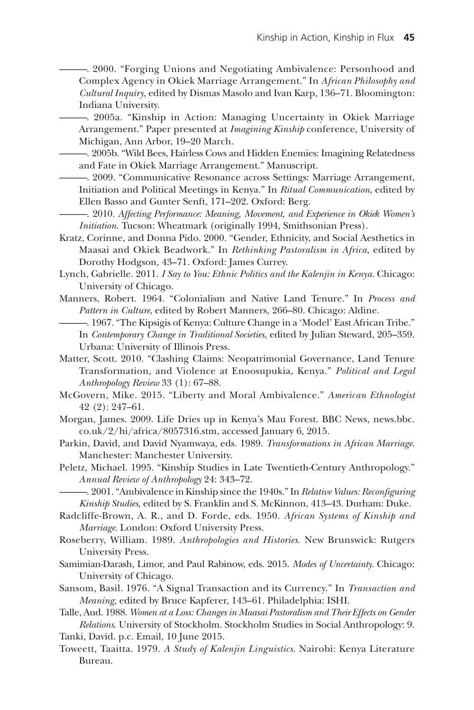———. 2000. "Forging Unions and Negotiating Ambivalence: Personhood and Complex Agency in Okiek Marriage Arrangement." In *African Philosophy and Cultural Inquiry*, edited by Dismas Masolo and Ivan Karp, 136–71. Bloomington: Indiana University.

———. 2005a. "Kinship in Action: Managing Uncertainty in Okiek Marriage Arrangement." Paper presented at *Imagining Kinship* conference, University of Michigan, Ann Arbor, 19–20 March.

- ———. 2005b. "Wild Bees, Hairless Cows and Hidden Enemies: Imagining Relatedness and Fate in Okiek Marriage Arrangement." Manuscript.
- ———. 2009. "Communicative Resonance across Settings: Marriage Arrangement, Initiation and Political Meetings in Kenya." In *Ritual Communication*, edited by Ellen Basso and Gunter Senft, 171–202. Oxford: Berg.
- ———. 2010. *Affecting Performance: Meaning, Movement, and Experience in Okiek Women's Initiation*. Tucson: Wheatmark (originally 1994, Smithsonian Press).
- Kratz, Corinne, and Donna Pido. 2000. "Gender, Ethnicity, and Social Aesthetics in Maasai and Okiek Beadwork." In *Rethinking Pastoralism in Africa*, edited by Dorothy Hodgson, 43–71. Oxford: James Currey.
- Lynch, Gabrielle. 2011. *I Say to You: Ethnic Politics and the Kalenjin in Kenya*. Chicago: University of Chicago.
- Manners, Robert. 1964. "Colonialism and Native Land Tenure." In *Process and Pattern in Culture*, edited by Robert Manners, 266–80. Chicago: Aldine.
	- ———. 1967. "The Kipsigis of Kenya: Culture Change in a 'Model' East African Tribe." In *Contemporary Change in Traditional Societies*, edited by Julian Steward, 205–359. Urbana: University of Illinois Press.
- Matter, Scott. 2010. "Clashing Claims: Neopatrimonial Governance, Land Tenure Transformation, and Violence at Enoosupukia, Kenya." *Political and Legal Anthropology Review* 33 (1): 67–88.
- McGovern, Mike. 2015. "Liberty and Moral Ambivalence." *American Ethnologist* 42 (2): 247–61.
- Morgan, James. 2009. Life Dries up in Kenya's Mau Forest. BBC News, [news.bbc.](http://news.bbc.co.uk/2/hi/africa/8057316.stm) [co.uk/2/hi/africa/8057316.stm,](http://news.bbc.co.uk/2/hi/africa/8057316.stm) accessed January 6, 2015.
- Parkin, David, and David Nyamwaya, eds. 1989. *Transformations in African Marriage*. Manchester: Manchester University.
- Peletz, Michael. 1995. "Kinship Studies in Late Twentieth-Century Anthropology." *Annual Review of Anthropology* 24: 343–72.
	- ———. 2001. "Ambivalence in Kinship since the 1940s." In *Relative Values: Reconfiguring Kinship Studies*, edited by S. Franklin and S. McKinnon, 413–43. Durham: Duke.
- Radcliffe-Brown, A. R., and D. Forde, eds. 1950. *African Systems of Kinship and Marriage*. London: Oxford University Press.
- Roseberry, William. 1989. *Anthropologies and Histories*. New Brunswick: Rutgers University Press.
- Samimian-Darash, Limor, and Paul Rabinow, eds. 2015. *Modes of Uncertainty*. Chicago: University of Chicago.
- Sansom, Basil. 1976. "A Signal Transaction and its Currency." In *Transaction and Meaning*, edited by Bruce Kapferer, 143–61. Philadelphia: ISHI.
- Talle, Aud. 1988. *Women at a Loss: Changes in Maasai Pastoralism and Their Effects on Gender Relations*. University of Stockholm. Stockholm Studies in Social Anthropology: 9.

Tanki, David. p.c. Email, 10 June 2015.

Toweett, Taaitta. 1979. *A Study of Kalenjin Linguistics*. Nairobi: Kenya Literature Bureau.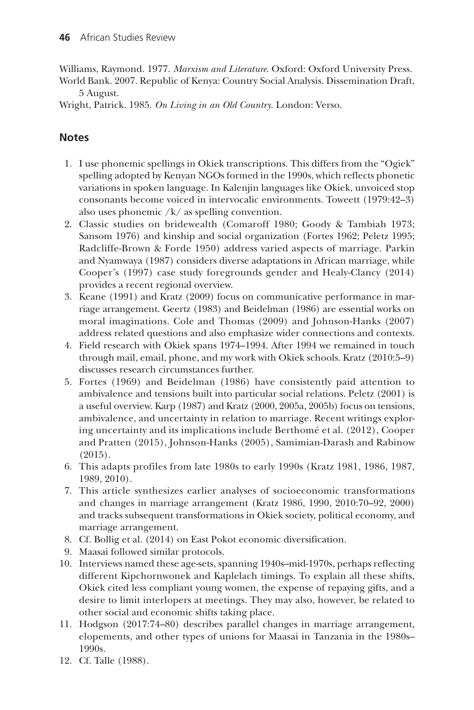Williams, Raymond. 1977. *Marxism and Literature*. Oxford: Oxford University Press.

World Bank. 2007. Republic of Kenya: Country Social Analysis. Dissemination Draft, 5 August.

Wright, Patrick. 1985. *On Living in an Old Country*. London: Verso.

# **Notes**

- 1. I use phonemic spellings in Okiek transcriptions. This differs from the "Ogiek" spelling adopted by Kenyan NGOs formed in the 1990s, which reflects phonetic variations in spoken language. In Kalenjin languages like Okiek, unvoiced stop consonants become voiced in intervocalic environments. Toweett (1979:42–3) also uses phonemic /k/ as spelling convention.
- 2. Classic studies on bridewealth (Comaroff 1980; Goody & Tambiah 1973; Sansom 1976) and kinship and social organization (Fortes 1962; Peletz 1995; Radcliffe-Brown & Forde 1950) address varied aspects of marriage. Parkin and Nyamwaya (1987) considers diverse adaptations in African marriage, while Cooper's (1997) case study foregrounds gender and Healy-Clancy (2014) provides a recent regional overview.
- 3. Keane (1991) and Kratz (2009) focus on communicative performance in marriage arrangement. Geertz (1983) and Beidelman (1986) are essential works on moral imaginations. Cole and Thomas (2009) and Johnson-Hanks (2007) address related questions and also emphasize wider connections and contexts.
- 4. Field research with Okiek spans 1974–1994. After 1994 we remained in touch through mail, email, phone, and my work with Okiek schools. Kratz (2010:5–9) discusses research circumstances further.
- 5. Fortes (1969) and Beidelman (1986) have consistently paid attention to ambivalence and tensions built into particular social relations. Peletz (2001) is a useful overview. Karp (1987) and Kratz (2000, 2005a, 2005b) focus on tensions, ambivalence, and uncertainty in relation to marriage. Recent writings exploring uncertainty and its implications include Berthomé et al. (2012), Cooper and Pratten (2015), Johnson-Hanks (2005), Samimian-Darash and Rabinow (2015).
- 6. This adapts profiles from late 1980s to early 1990s (Kratz 1981, 1986, 1987, 1989, 2010).
- 7. This article synthesizes earlier analyses of socioeconomic transformations and changes in marriage arrangement (Kratz 1986, 1990, 2010:70–92, 2000) and tracks subsequent transformations in Okiek society, political economy, and marriage arrangement.
- 8. Cf. Bollig et al. (2014) on East Pokot economic diversification.
- 9. Maasai followed similar protocols.
- 10. Interviews named these age-sets, spanning 1940s–mid-1970s, perhaps reflecting different Kipchornwonek and Kaplelach timings. To explain all these shifts, Okiek cited less compliant young women, the expense of repaying gifts, and a desire to limit interlopers at meetings. They may also, however, be related to other social and economic shifts taking place.
- 11. Hodgson (2017:74–80) describes parallel changes in marriage arrangement, elopements, and other types of unions for Maasai in Tanzania in the 1980s– 1990s.
- 12. Cf. Talle (1988).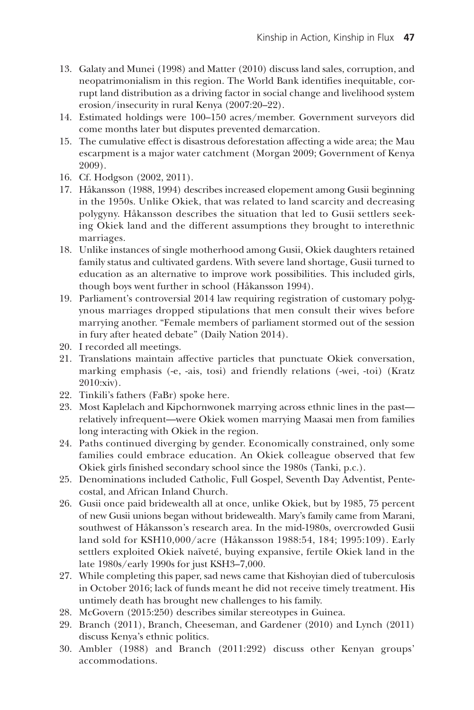- 13. Galaty and Munei (1998) and Matter (2010) discuss land sales, corruption, and neopatrimonialism in this region. The World Bank identifies inequitable, corrupt land distribution as a driving factor in social change and livelihood system erosion/insecurity in rural Kenya (2007:20–22).
- 14. Estimated holdings were 100–150 acres/member. Government surveyors did come months later but disputes prevented demarcation.
- 15. The cumulative effect is disastrous deforestation affecting a wide area; the Mau escarpment is a major water catchment (Morgan 2009; Government of Kenya 2009).
- 16. Cf. Hodgson (2002, 2011).
- 17. Håkansson (1988, 1994) describes increased elopement among Gusii beginning in the 1950s. Unlike Okiek, that was related to land scarcity and decreasing polygyny. Håkansson describes the situation that led to Gusii settlers seeking Okiek land and the different assumptions they brought to interethnic marriages.
- 18. Unlike instances of single motherhood among Gusii, Okiek daughters retained family status and cultivated gardens. With severe land shortage, Gusii turned to education as an alternative to improve work possibilities. This included girls, though boys went further in school (Håkansson 1994).
- 19. Parliament's controversial 2014 law requiring registration of customary polygynous marriages dropped stipulations that men consult their wives before marrying another. "Female members of parliament stormed out of the session in fury after heated debate" (Daily Nation 2014).
- 20. I recorded all meetings.
- 21. Translations maintain affective particles that punctuate Okiek conversation, marking emphasis (-e, -ais, tosi) and friendly relations (-wei, -toi) (Kratz 2010:xiv).
- 22. Tinkili's fathers (FaBr) spoke here.
- 23. Most Kaplelach and Kipchornwonek marrying across ethnic lines in the past relatively infrequent—were Okiek women marrying Maasai men from families long interacting with Okiek in the region.
- 24. Paths continued diverging by gender. Economically constrained, only some families could embrace education. An Okiek colleague observed that few Okiek girls finished secondary school since the 1980s (Tanki, p.c.).
- 25. Denominations included Catholic, Full Gospel, Seventh Day Adventist, Pentecostal, and African Inland Church.
- 26. Gusii once paid bridewealth all at once, unlike Okiek, but by 1985, 75 percent of new Gusii unions began without bridewealth. Mary's family came from Marani, southwest of Håkansson's research area. In the mid-1980s, overcrowded Gusii land sold for KSH10,000/acre (Håkansson 1988:54, 184; 1995:109). Early settlers exploited Okiek naïveté, buying expansive, fertile Okiek land in the late 1980s/early 1990s for just KSH3–7,000.
- 27. While completing this paper, sad news came that Kishoyian died of tuberculosis in October 2016; lack of funds meant he did not receive timely treatment. His untimely death has brought new challenges to his family.
- 28. McGovern (2015:250) describes similar stereotypes in Guinea.
- 29. Branch (2011), Branch, Cheeseman, and Gardener (2010) and Lynch (2011) discuss Kenya's ethnic politics.
- 30. Ambler (1988) and Branch (2011:292) discuss other Kenyan groups' accommodations.